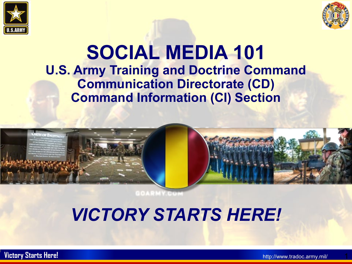



## **SOCIAL MEDIA 101 U.S. Army Training and Doctrine Command Communication Directorate (CD) Command Information (CI) Section**





# *VICTORY STARTS HERE!*

**Victory Starts Here!** http://www.tradoc.army.mil/

1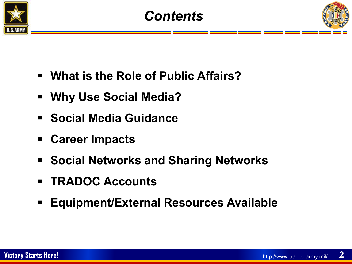



- **What is the Role of Public Affairs?**
- **Why Use Social Media?**
- **Social Media Guidance**
- **Career Impacts**
- **Social Networks and Sharing Networks**
- **TRADOC Accounts**
- **Equipment/External Resources Available**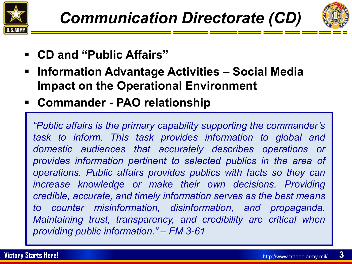



- **CD and "Public Affairs"**
- **Information Advantage Activities – Social Media Impact on the Operational Environment**
- **Commander - PAO relationship**

*"Public affairs is the primary capability supporting the commander's task to inform. This task provides information to global and domestic audiences that accurately describes operations or provides information pertinent to selected publics in the area of operations. Public affairs provides publics with facts so they can increase knowledge or make their own decisions. Providing credible, accurate, and timely information serves as the best means to counter misinformation, disinformation, and propaganda. Maintaining trust, transparency, and credibility are critical when providing public information." – FM 3-61*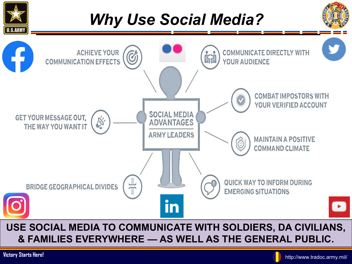

### **USE SOCIAL MEDIA TO COMMUNICATE WITH SOLDIERS, DA CIVILIANS, & FAMILIES EVERYWHERE — AS WELL AS THE GENERAL PUBLIC.**

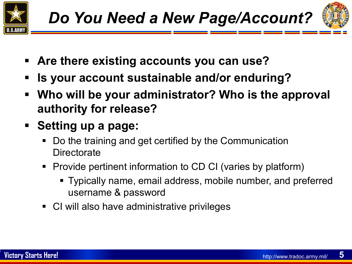



- **Are there existing accounts you can use?**
- **Is your account sustainable and/or enduring?**
- **Who will be your administrator? Who is the approval authority for release?**
- **Setting up a page:**
	- Do the training and get certified by the Communication **Directorate**
	- Provide pertinent information to CD CI (varies by platform)
		- Typically name, email address, mobile number, and preferred username & password
	- CI will also have administrative privileges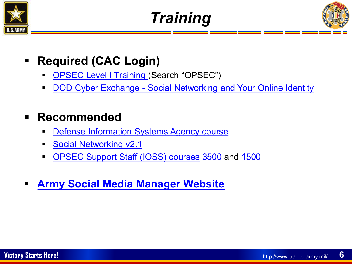





- **Required (CAC Login)**
	- [OPSEC Level I Training](https://www.lms.army.mil/) (Search "OPSEC")
	- DOD Cyber Exchange [Social Networking and Your Online Identity](https://cyber.mil/training/social-networking/)

## **Recommended**

- [Defense Information Systems Agency course](https://disa.mil/NewsandEvents/Training/DISA-Services-Course)
- [Social Networking v2.1](https://iatraining.us.army.mil/_html/studentApp/_studentfiles/stumain.htm#courses)
- [OPSEC Support Staff \(IOSS\) courses](https://webarchive.library.unt.edu/eot2008/20090117192536/http:/www.ioss.gov/training/course_listing_2008.htm#:%7E:text=The%20course%20list%20includes%3A%20%20%20OPSE-1300%2C%20Fundamentals,MTT%2C%20and%20E-Learning%20%201%20more%20rows%20) [3500](https://webarchive.library.unt.edu/eot2008/20090117192536/http:/www.ioss.gov/training/3500.html) and [1500](https://webarchive.library.unt.edu/eot2008/20090117192536/http:/www.ioss.gov/training/1500.html)
- **[Army Social Media Manager Website](https://www.army.mil/socialmedia/managers/#:%7E:text=ALARACT%20289%2F2013%2C%20Army%20OPSEC%20Training%20for%20External%20Official,qualified%20public%20affairs%20officer%20approval%20to%20establish%20platform)**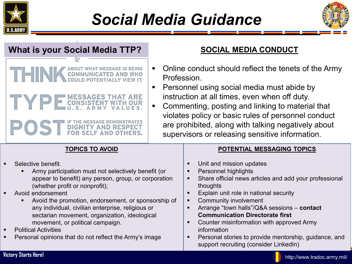

## *Social Media Guidance*



| <b>What is your Social Media TTP?</b>                                                                                                                                                                                                                                          | SOCIAL MEDIA CONDUCT                                                                                                                                                                                                                                                                                                                                                                                                             |
|--------------------------------------------------------------------------------------------------------------------------------------------------------------------------------------------------------------------------------------------------------------------------------|----------------------------------------------------------------------------------------------------------------------------------------------------------------------------------------------------------------------------------------------------------------------------------------------------------------------------------------------------------------------------------------------------------------------------------|
| <b>COMMUNICATED AND WHO</b><br>COULD POTENTIALLY VIEW IT.<br><b>MESSAGES THAT ARE</b><br>E<br>IF THE MESSAGE DEMONSTRATES<br><b>DIGNITY AND RESPECT FOR SELF AND OTHERS.</b>                                                                                                   | Online conduct should reflect the tenets of the Army<br>$\blacksquare$<br>Profession.<br>Personnel using social media must abide by<br>п<br>instruction at all times, even when off duty.<br>Commenting, posting and linking to material that<br>$\blacksquare$<br>violates policy or basic rules of personnel conduct<br>are prohibited, along with talking negatively about<br>supervisors or releasing sensitive information. |
| <b>TOPICS TO AVOID</b><br>Selective benefit.<br>Army participation must not selectively benefit (or<br>appear to benefit) any person, group, or corporation<br>(whether profit or nonprofit);<br>Avoid endorsement<br>Avoid the promotion, endorsement, or sponsorship of<br>٠ | POTENTIAL MESSAGING TOPICS<br>Unit and mission updates<br>Personnel highlights<br>п<br>Share official news articles and add your professional<br>٠<br>thoughts<br>Explain unit role in national security<br><b>Community involvement</b><br>$\blacksquare$                                                                                                                                                                       |
| any individual, civilian enterprise, religious or<br>sectarian movement, organization, ideological<br>movement, or political campaign.<br><b>Political Activities</b><br>$\blacksquare$<br>Personal opinions that do not reflect the Army's image                              | Arrange "town halls"/Q&A sessions - contact<br>п<br><b>Communication Directorate first</b><br>Counter misinformation with approved Army<br>information<br>Personal stories to provide mentorship, guidance, and<br>support recruiting (consider LinkedIn)                                                                                                                                                                        |
| Victory Starts Here!                                                                                                                                                                                                                                                           | http://www.tradoc.army.mil/                                                                                                                                                                                                                                                                                                                                                                                                      |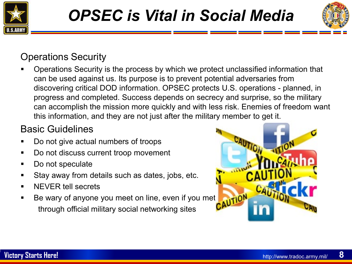



### Operations Security

 Operations Security is the process by which we protect unclassified information that can be used against us. Its purpose is to prevent potential adversaries from discovering critical DOD information. OPSEC protects U.S. operations - planned, in progress and completed. Success depends on secrecy and surprise, so the military can accomplish the mission more quickly and with less risk. Enemies of freedom want this information, and they are not just after the military member to get it.

### Basic Guidelines

- Do not give actual numbers of troops
- Do not discuss current troop movement
- Do not speculate
- Stay away from details such as dates, jobs, etc.
- NEVER tell secrets
- Be wary of anyone you meet on line, even if you met **AUTION** through official military social networking sites

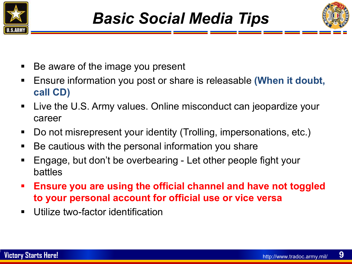



- Be aware of the image you present
- Ensure information you post or share is releasable (When it doubt, **call CD)**
- Live the U.S. Army values. Online misconduct can jeopardize your career
- Do not misrepresent your identity (Trolling, impersonations, etc.)
- Be cautious with the personal information you share
- Engage, but don't be overbearing Let other people fight your battles
- **Ensure you are using the official channel and have not toggled to your personal account for official use or vice versa**
- **Utilize two-factor identification**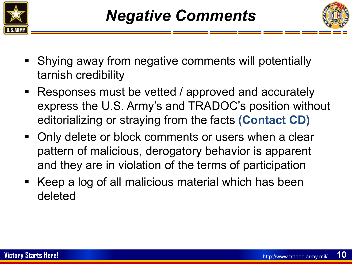



- Shying away from negative comments will potentially tarnish credibility
- Responses must be vetted / approved and accurately express the U.S. Army's and TRADOC's position without editorializing or straying from the facts **(Contact CD)**
- **-** Only delete or block comments or users when a clear pattern of malicious, derogatory behavior is apparent and they are in violation of the terms of participation
- Keep a log of all malicious material which has been deleted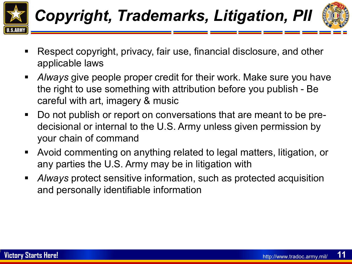



- Respect copyright, privacy, fair use, financial disclosure, and other applicable laws
- *Always* give people proper credit for their work. Make sure you have the right to use something with attribution before you publish - Be careful with art, imagery & music
- Do not publish or report on conversations that are meant to be predecisional or internal to the U.S. Army unless given permission by your chain of command
- Avoid commenting on anything related to legal matters, litigation, or any parties the U.S. Army may be in litigation with
- *Always* protect sensitive information, such as protected acquisition and personally identifiable information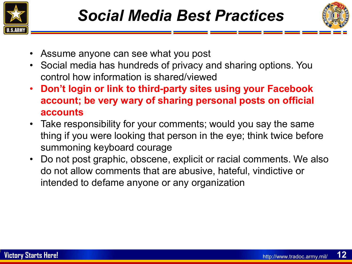



- Assume anyone can see what you post
- Social media has hundreds of privacy and sharing options. You control how information is shared/viewed
- **Don't login or link to third-party sites using your Facebook account; be very wary of sharing personal posts on official accounts**
- Take responsibility for your comments; would you say the same thing if you were looking that person in the eye; think twice before summoning keyboard courage
- Do not post graphic, obscene, explicit or racial comments. We also do not allow comments that are abusive, hateful, vindictive or intended to defame anyone or any organization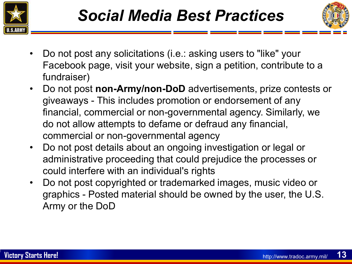



- Do not post any solicitations (i.e.: asking users to "like" your Facebook page, visit your website, sign a petition, contribute to a fundraiser)
- Do not post **non-Army/non-DoD** advertisements, prize contests or giveaways - This includes promotion or endorsement of any financial, commercial or non-governmental agency. Similarly, we do not allow attempts to defame or defraud any financial, commercial or non-governmental agency
- Do not post details about an ongoing investigation or legal or administrative proceeding that could prejudice the processes or could interfere with an individual's rights
- Do not post copyrighted or trademarked images, music video or graphics - Posted material should be owned by the user, the U.S. Army or the DoD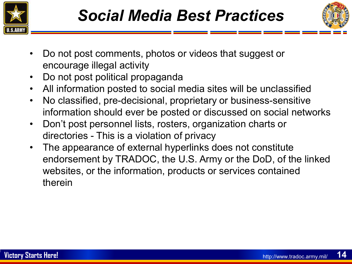



- Do not post comments, photos or videos that suggest or encourage illegal activity
- Do not post political propaganda
- All information posted to social media sites will be unclassified
- No classified, pre-decisional, proprietary or business-sensitive information should ever be posted or discussed on social networks
- Don't post personnel lists, rosters, organization charts or directories - This is a violation of privacy
- The appearance of external hyperlinks does not constitute endorsement by TRADOC, the U.S. Army or the DoD, of the linked websites, or the information, products or services contained therein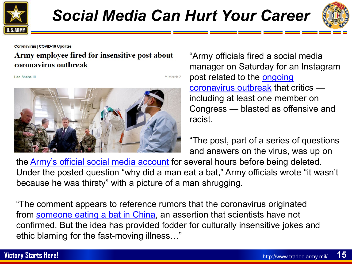



Coronavirus | COVID-19 Updates

#### Army employee fired for insensitive post about coronavirus outbreak

Leo Shane III

□ March 2



"Army officials fired a social media manager on Saturday for an Instagram post related to the **ongoing** [coronavirus outbreak](https://www.militarytimes.com/news/coronavirus/) that critics including at least one member on Congress — blasted as offensive and racist.

"The post, part of a series of questions and answers on the virus, was up on

the **[Army's official social media account](https://www.instagram.com/usarmy/?hl=en)** for several hours before being deleted. Under the posted question "why did a man eat a bat," Army officials wrote "it wasn't because he was thirsty" with a picture of a man shrugging.

"The comment appears to reference rumors that the coronavirus originated from [someone eating a bat in China](https://www.militarytimes.com/news/your-navy/2020/03/14/explainer-if-coronavirus-started-in-bats-why-arent-they-dead/), an assertion that scientists have not confirmed. But the idea has provided fodder for culturally insensitive jokes and ethic blaming for the fast-moving illness…"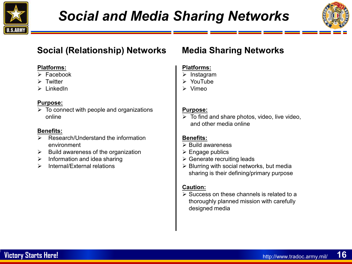



### **Social (Relationship) Networks Media Sharing Networks**

#### **Platforms:**

- $\triangleright$  Facebook
- $\triangleright$  Twitter
- $\triangleright$  LinkedIn

#### **Purpose:**

 $\triangleright$  To connect with people and organizations online

#### **Benefits:**

- $\triangleright$  Research/Understand the information environment
- $\triangleright$  Build awareness of the organization
- $\triangleright$  Information and idea sharing
- $\triangleright$  Internal/External relations

#### **Platforms:**

- $\triangleright$  Instagram
- YouTube
- Vimeo

#### **Purpose:**

 $\triangleright$  To find and share photos, video, live video, and other media online

#### **Benefits:**

- $\triangleright$  Build awareness
- $\triangleright$  Engage publics
- $\triangleright$  Generate recruiting leads
- $\triangleright$  Blurring with social networks, but media sharing is their defining/primary purpose

#### **Caution:**

 $\triangleright$  Success on these channels is related to a thoroughly planned mission with carefully designed media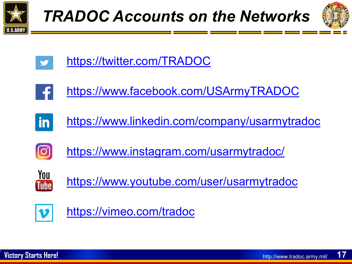







<https://www.facebook.com/USArmyTRADOC>



<https://www.linkedin.com/company/usarmytradoc>



<https://www.instagram.com/usarmytradoc/>



<https://www.youtube.com/user/usarmytradoc>



<https://vimeo.com/tradoc>